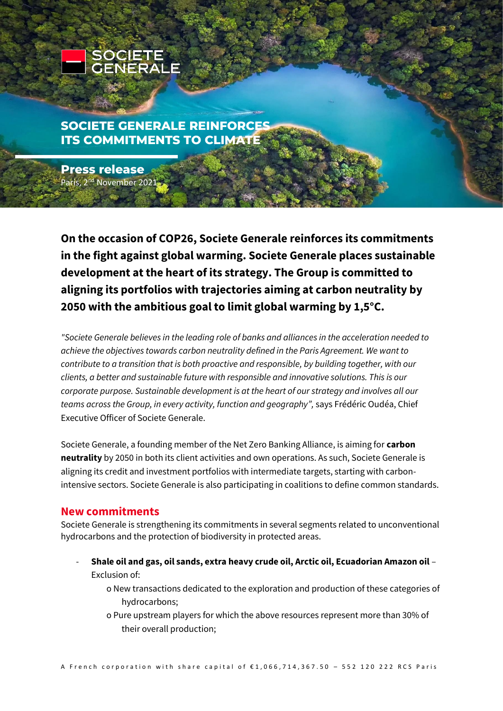

# **SOCIETE GENERALE REINFORCES ITS COMMITMENTS TO CLIMATE**

**Press release** Paris, 2<sup>nd</sup> November 2021,

**On the occasion of COP26, Societe Generale reinforces its commitments in the fight against global warming. Societe Generale places sustainable development at the heart of its strategy. The Group is committed to aligning its portfolios with trajectories aiming at carbon neutrality by 2050 with the ambitious goal to limit global warming by 1,5°C.** 

*"Societe Generale believes in the leading role of banks and alliances in the acceleration needed to achieve the objectives towards carbon neutrality defined in the Paris Agreement. We want to contribute to a transition that is both proactive and responsible, by building together, with our clients, a better and sustainable future with responsible and innovative solutions. This is our corporate purpose. Sustainable development is at the heart of our strategy and involves all our teams across the Group, in every activity, function and geography",* says Frédéric Oudéa, Chief Executive Officer of Societe Generale.

Societe Generale, a founding member of the Net Zero Banking Alliance, is aiming for **carbon neutrality** by 2050 in both its client activities and own operations. As such, Societe Generale is aligning its credit and investment portfolios with intermediate targets, starting with carbonintensive sectors. Societe Generale is also participating in coalitions to define common standards.

## **New commitments**

Societe Generale is strengthening its commitments in several segments related to unconventional hydrocarbons and the protection of biodiversity in protected areas.

- **Shale oil and gas, oil sands, extra heavy crude oil, Arctic oil, Ecuadorian Amazon oil** Exclusion of:
	- o New transactions dedicated to the exploration and production of these categories of hydrocarbons;
	- o Pure upstream players for which the above resources represent more than 30% of their overall production;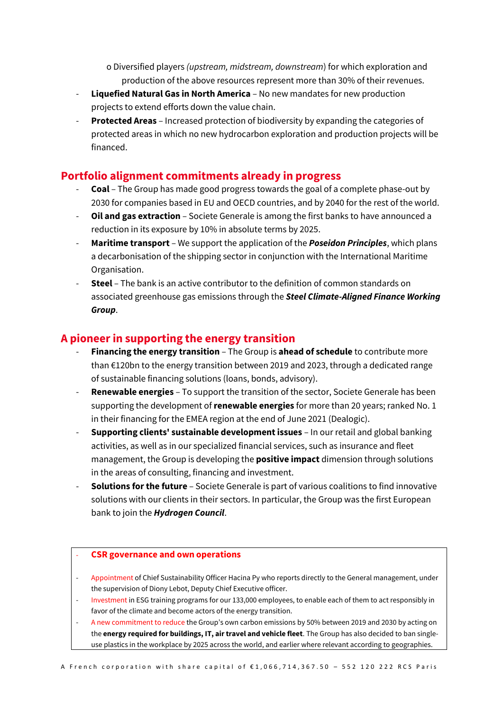o Diversified players *(upstream, midstream, downstream*) for which exploration and production of the above resources represent more than 30% of their revenues.

- **Liquefied Natural Gas in North America** No new mandates for new production projects to extend efforts down the value chain.
- **Protected Areas** Increased protection of biodiversity by expanding the categories of protected areas in which no new hydrocarbon exploration and production projects will be financed.

### **Portfolio alignment commitments already in progress**

- **Coal** The Group has made good progress towards the goal of a complete phase-out by 2030 for companies based in EU and OECD countries, and by 2040 for the rest of the world.
- **Oil and gas extraction**  Societe Generale is among the first banks to have announced a reduction in its exposure by 10% in absolute terms by 2025.
- **Maritime transport** We support the application of the *Poseidon Principles*, which plans a decarbonisation of the shipping sector in conjunction with the International Maritime Organisation.
- **Steel** The bank is an active contributor to the definition of common standards on associated greenhouse gas emissions through the *Steel Climate-Aligned Finance Working Group*.

#### **A pioneer in supporting the energy transition**

- **Financing the energy transition** The Group is **ahead of schedule** to contribute more than  $E120$ bn to the energy transition between 2019 and 2023, through a dedicated range of sustainable financing solutions (loans, bonds, advisory).
- Renewable energies To support the transition of the sector, Societe Generale has been supporting the development of **renewable energies** for more than 20 years; ranked No. 1 in their financing for the EMEA region at the end of June 2021 (Dealogic).
- **Supporting clients' sustainable development issues** In our retail and global banking activities, as well as in our specialized financial services, such as insurance and fleet management, the Group is developing the **positive impact** dimension through solutions in the areas of consulting, financing and investment.
- **Solutions for the future** Societe Generale is part of various coalitions to find innovative solutions with our clients in their sectors. In particular, the Group was the first European bank to join the *Hydrogen Council*.

#### - **CSR governance and own operations**

- Appointment of Chief Sustainability Officer Hacina Py who reports directly to the General management, under the supervision of Diony Lebot, Deputy Chief Executive officer.
- Investment in ESG training programs for our 133,000 employees, to enable each of them to act responsibly in favor of the climate and become actors of the energy transition.
- A new commitment to reduce the Group's own carbon emissions by 50% between 2019 and 2030 by acting on the **energy required for buildings, IT, air travel and vehicle fleet**. The Group has also decided to ban singleuse plastics in the workplace by 2025 across the world, and earlier where relevant according to geographies.